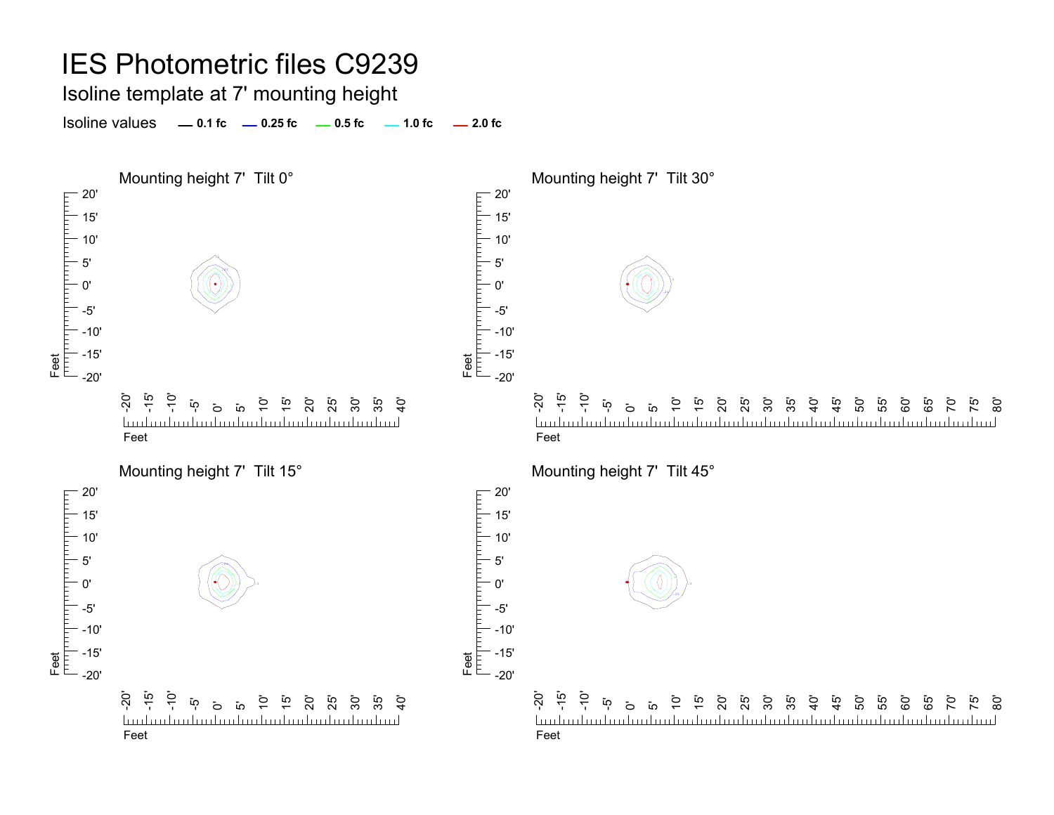Isoline template at 7' mounting height

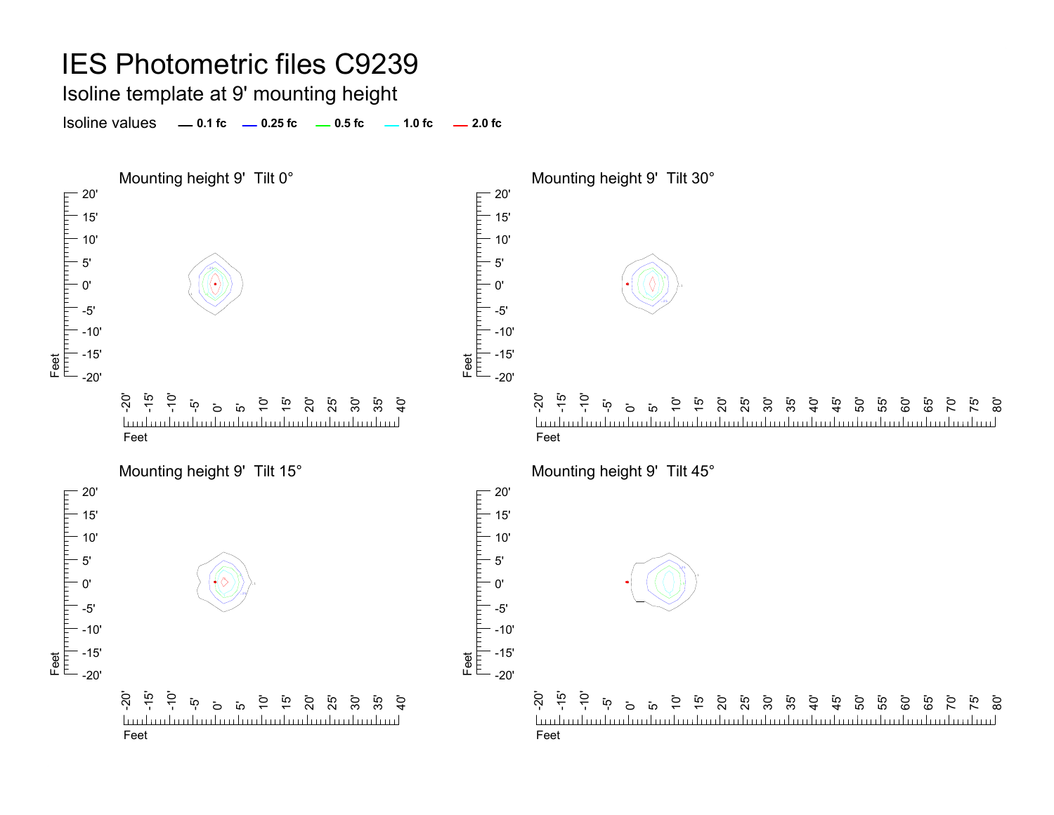### Isoline template at 9' mounting height

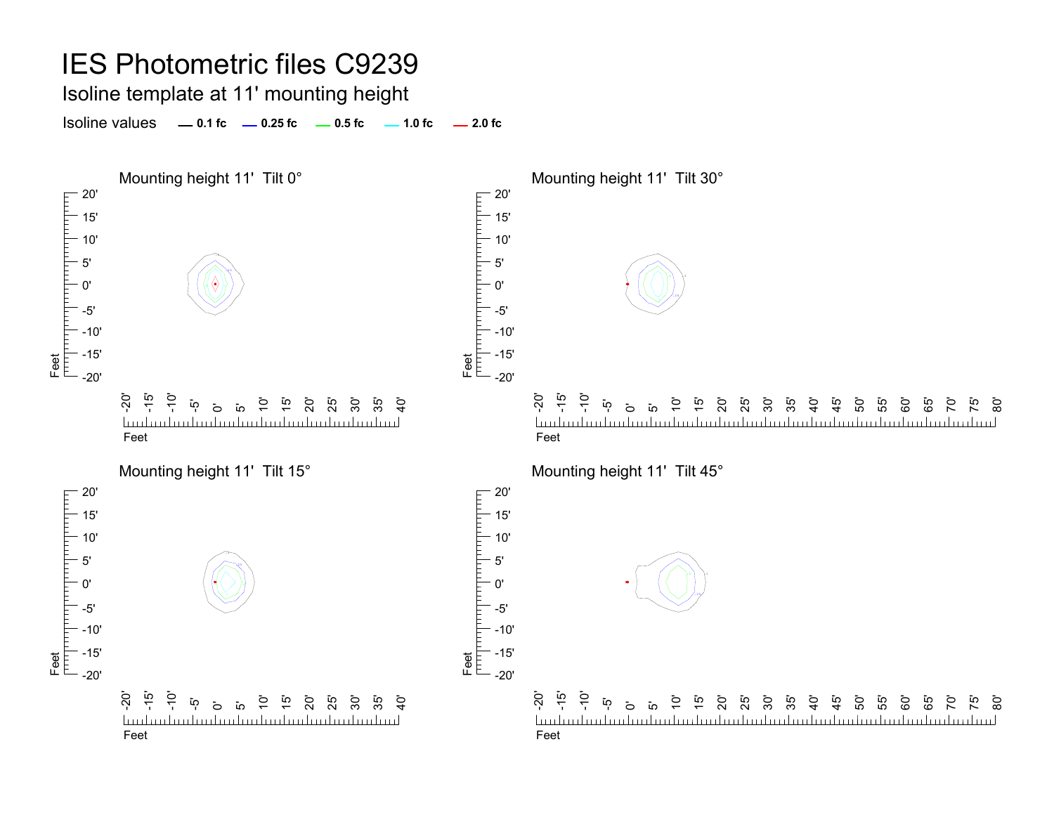#### IES Photometric files C9239 Isoline template at 11' mounting height Isoline values **0.1 fc 0.25 fc 0.5 fc 2.0 fc 1.0 fc** Mounting height 11' Tilt 0° Mounting height 11' Tilt 30°  $-20'$ 20' 15' 15' 10' 10' .15' 5' .25.10'0' 1 1 1 L Feet<br>|<sup>|||||</sup>||<sup>|||||||||</sup>| -5'-5' -10'-10' -15' -15' Feet -20'-20'  $\overline{S}$ -15'  $\frac{1}{2}$ -20' - تە<br>- $\frac{1}{2}$ 15' 30' ا ⊆ 15' .<br>ನ  $\mathbf{\ddot{o}}$ 10' 0<br>25<br>25 ີ**່** 55  $\mathcal{G}$  $\mathbf{\ddot{o}}$  $\overline{a}$ 20' 25' 30'  $\frac{5}{4}$ ្នុ<br>+ 50' 55' <u>تہ</u>  $\overline{a}$  $\overline{1}$  $\overline{1}$ 60' 85 70' an landan landan bandan bandara bandarahan bandara <u>Industrialization builded introduction l</u> budmitmitmitmi FeetFeetMounting height 11' Tilt 15° Mounting height 11' Tilt 45°  $-20$ 20' гирипит 15' 15' 10' 10' 5'5' .25

Feet

0'

-5' -10' -15' -20'

Feet

<u>tuulmalmalmalmal</u>





mulam kanakan kanakan kanakan kanakan kanakan k

<u>ක</u>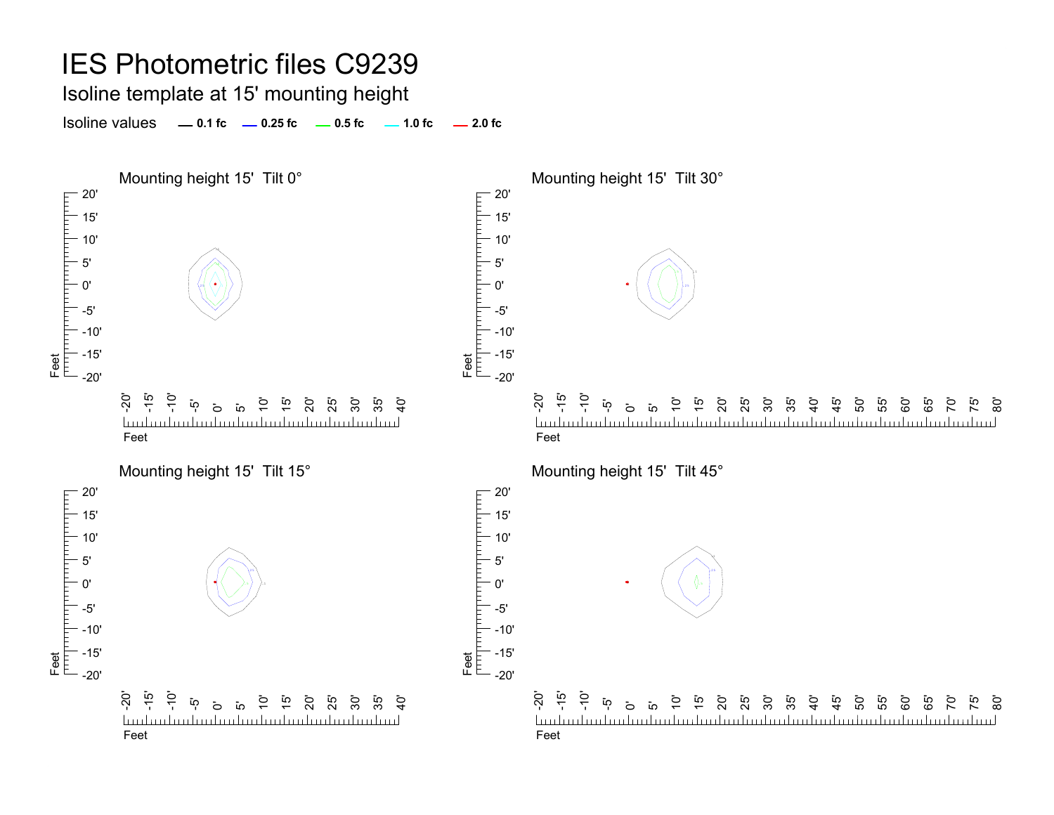Isoline template at 15' mounting height

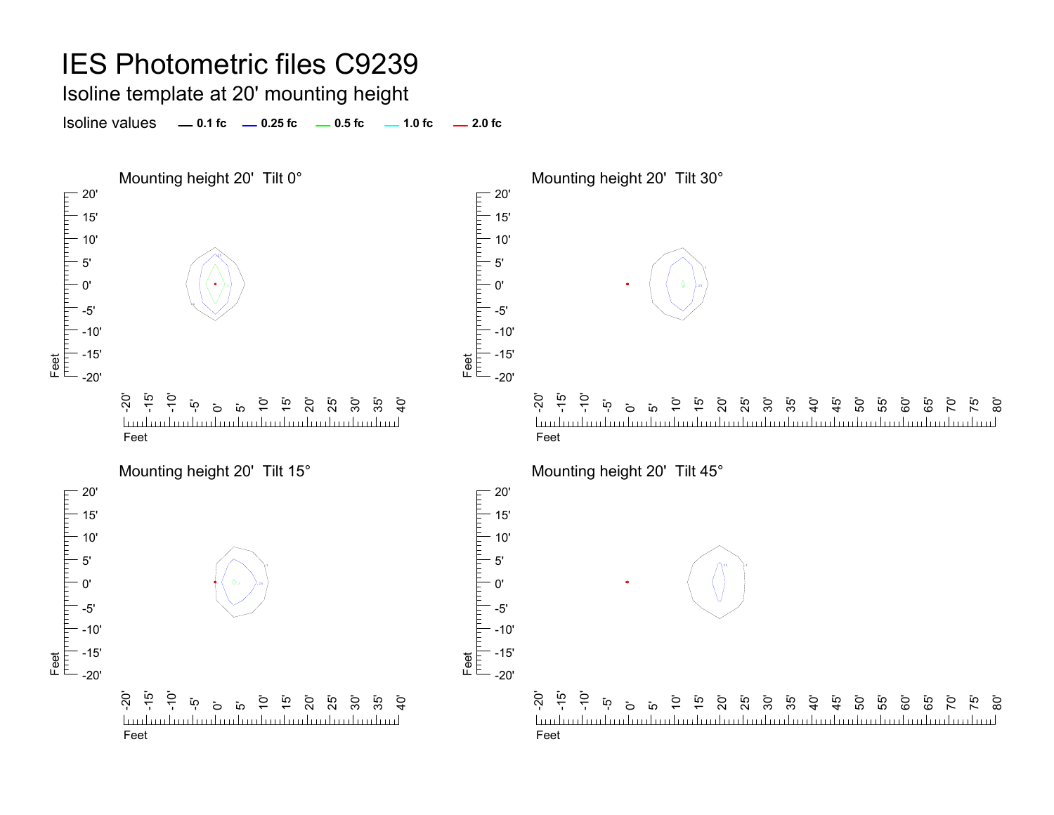Isoline template at 20' mounting height